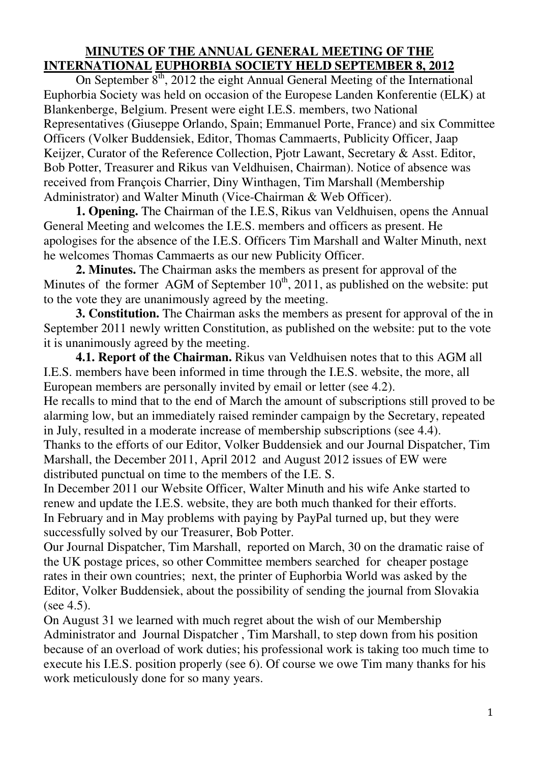## **MINUTES OF THE ANNUAL GENERAL MEETING OF THE INTERNATIONAL EUPHORBIA SOCIETY HELD SEPTEMBER 8, 2012**

On September  $8<sup>th</sup>$ , 2012 the eight Annual General Meeting of the International Euphorbia Society was held on occasion of the Europese Landen Konferentie (ELK) at Blankenberge, Belgium. Present were eight I.E.S. members, two National Representatives (Giuseppe Orlando, Spain; Emmanuel Porte, France) and six Committee Officers (Volker Buddensiek, Editor, Thomas Cammaerts, Publicity Officer, Jaap Keijzer, Curator of the Reference Collection, Pjotr Lawant, Secretary & Asst. Editor, Bob Potter, Treasurer and Rikus van Veldhuisen, Chairman). Notice of absence was received from François Charrier, Diny Winthagen, Tim Marshall (Membership Administrator) and Walter Minuth (Vice-Chairman & Web Officer).

 **1. Opening.** The Chairman of the I.E.S, Rikus van Veldhuisen, opens the Annual General Meeting and welcomes the I.E.S. members and officers as present. He apologises for the absence of the I.E.S. Officers Tim Marshall and Walter Minuth, next he welcomes Thomas Cammaerts as our new Publicity Officer.

 **2. Minutes.** The Chairman asks the members as present for approval of the Minutes of the former AGM of September  $10^{th}$ , 2011, as published on the website: put to the vote they are unanimously agreed by the meeting.

 **3. Constitution.** The Chairman asks the members as present for approval of the in September 2011 newly written Constitution, as published on the website: put to the vote it is unanimously agreed by the meeting.

**4.1. Report of the Chairman.** Rikus van Veldhuisen notes that to this AGM all I.E.S. members have been informed in time through the I.E.S. website, the more, all European members are personally invited by email or letter (see 4.2).

He recalls to mind that to the end of March the amount of subscriptions still proved to be alarming low, but an immediately raised reminder campaign by the Secretary, repeated in July, resulted in a moderate increase of membership subscriptions (see 4.4).

Thanks to the efforts of our Editor, Volker Buddensiek and our Journal Dispatcher, Tim Marshall, the December 2011, April 2012 and August 2012 issues of EW were distributed punctual on time to the members of the I.E. S.

In December 2011 our Website Officer, Walter Minuth and his wife Anke started to renew and update the I.E.S. website, they are both much thanked for their efforts. In February and in May problems with paying by PayPal turned up, but they were successfully solved by our Treasurer, Bob Potter.

Our Journal Dispatcher, Tim Marshall, reported on March, 30 on the dramatic raise of the UK postage prices, so other Committee members searched for cheaper postage rates in their own countries; next, the printer of Euphorbia World was asked by the Editor, Volker Buddensiek, about the possibility of sending the journal from Slovakia (see 4.5).

On August 31 we learned with much regret about the wish of our Membership Administrator and Journal Dispatcher , Tim Marshall, to step down from his position because of an overload of work duties; his professional work is taking too much time to execute his I.E.S. position properly (see 6). Of course we owe Tim many thanks for his work meticulously done for so many years.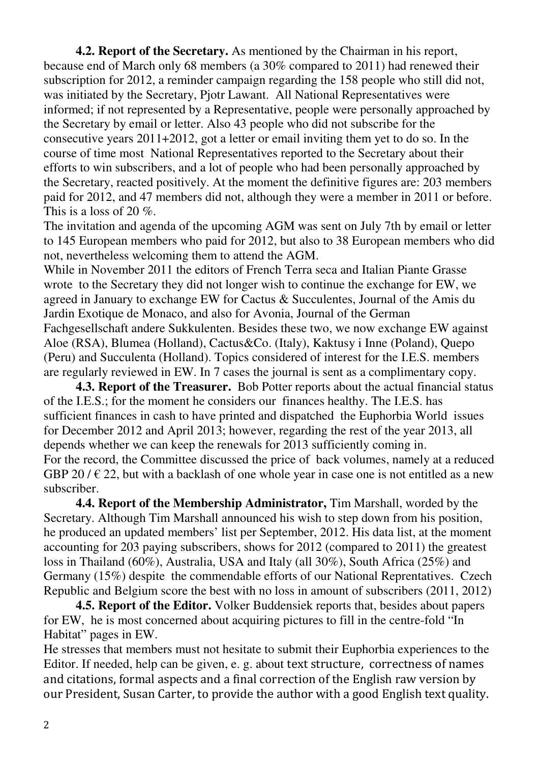**4.2. Report of the Secretary.** As mentioned by the Chairman in his report, because end of March only 68 members (a 30% compared to 2011) had renewed their subscription for 2012, a reminder campaign regarding the 158 people who still did not, was initiated by the Secretary, Pjotr Lawant. All National Representatives were informed; if not represented by a Representative, people were personally approached by the Secretary by email or letter. Also 43 people who did not subscribe for the consecutive years 2011+2012, got a letter or email inviting them yet to do so. In the course of time most National Representatives reported to the Secretary about their efforts to win subscribers, and a lot of people who had been personally approached by the Secretary, reacted positively. At the moment the definitive figures are: 203 members paid for 2012, and 47 members did not, although they were a member in 2011 or before. This is a loss of 20 %.

The invitation and agenda of the upcoming AGM was sent on July 7th by email or letter to 145 European members who paid for 2012, but also to 38 European members who did not, nevertheless welcoming them to attend the AGM.

While in November 2011 the editors of French Terra seca and Italian Piante Grasse wrote to the Secretary they did not longer wish to continue the exchange for EW, we agreed in January to exchange EW for Cactus & Succulentes, Journal of the Amis du Jardin Exotique de Monaco, and also for Avonia, Journal of the German Fachgesellschaft andere Sukkulenten. Besides these two, we now exchange EW against Aloe (RSA), Blumea (Holland), Cactus&Co. (Italy), Kaktusy i Inne (Poland), Quepo (Peru) and Succulenta (Holland). Topics considered of interest for the I.E.S. members are regularly reviewed in EW. In 7 cases the journal is sent as a complimentary copy.

**4.3. Report of the Treasurer.** Bob Potter reports about the actual financial status of the I.E.S.; for the moment he considers our finances healthy. The I.E.S. has sufficient finances in cash to have printed and dispatched the Euphorbia World issues for December 2012 and April 2013; however, regarding the rest of the year 2013, all depends whether we can keep the renewals for 2013 sufficiently coming in. For the record, the Committee discussed the price of back volumes, namely at a reduced GBP 20 /  $\in$  22, but with a backlash of one whole year in case one is not entitled as a new subscriber.

 **4.4. Report of the Membership Administrator,** Tim Marshall, worded by the Secretary. Although Tim Marshall announced his wish to step down from his position, he produced an updated members' list per September, 2012. His data list, at the moment accounting for 203 paying subscribers, shows for 2012 (compared to 2011) the greatest loss in Thailand (60%), Australia, USA and Italy (all 30%), South Africa (25%) and Germany (15%) despite the commendable efforts of our National Reprentatives. Czech Republic and Belgium score the best with no loss in amount of subscribers (2011, 2012)

**4.5. Report of the Editor.** Volker Buddensiek reports that, besides about papers for EW, he is most concerned about acquiring pictures to fill in the centre-fold "In Habitat" pages in EW.

He stresses that members must not hesitate to submit their Euphorbia experiences to the Editor. If needed, help can be given, e. g. about text structure, correctness of names and citations, formal aspects and a final correction of the English raw version by our President, Susan Carter, to provide the author with a good English text quality.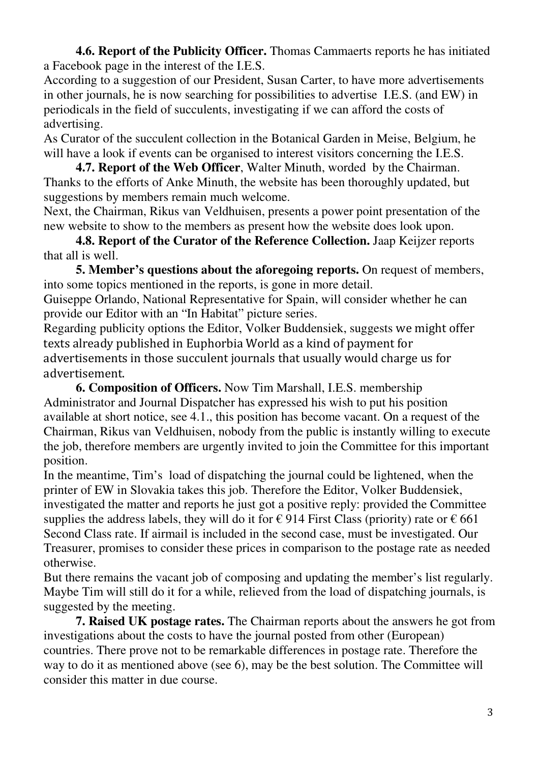**4.6. Report of the Publicity Officer.** Thomas Cammaerts reports he has initiated a Facebook page in the interest of the I.E.S.

According to a suggestion of our President, Susan Carter, to have more advertisements in other journals, he is now searching for possibilities to advertise I.E.S. (and EW) in periodicals in the field of succulents, investigating if we can afford the costs of advertising.

As Curator of the succulent collection in the Botanical Garden in Meise, Belgium, he will have a look if events can be organised to interest visitors concerning the I.E.S.

**4.7. Report of the Web Officer**, Walter Minuth, worded by the Chairman. Thanks to the efforts of Anke Minuth, the website has been thoroughly updated, but suggestions by members remain much welcome.

Next, the Chairman, Rikus van Veldhuisen, presents a power point presentation of the new website to show to the members as present how the website does look upon.

 **4.8. Report of the Curator of the Reference Collection.** Jaap Keijzer reports that all is well.

 **5. Member's questions about the aforegoing reports.** On request of members, into some topics mentioned in the reports, is gone in more detail.

Guiseppe Orlando, National Representative for Spain, will consider whether he can provide our Editor with an "In Habitat" picture series.

Regarding publicity options the Editor, Volker Buddensiek, suggests we might offer texts already published in Euphorbia World as a kind of payment for advertisements in those succulent journals that usually would charge us for advertisement.

 **6. Composition of Officers.** Now Tim Marshall, I.E.S. membership Administrator and Journal Dispatcher has expressed his wish to put his position available at short notice, see 4.1., this position has become vacant. On a request of the Chairman, Rikus van Veldhuisen, nobody from the public is instantly willing to execute the job, therefore members are urgently invited to join the Committee for this important position.

In the meantime, Tim's load of dispatching the journal could be lightened, when the printer of EW in Slovakia takes this job. Therefore the Editor, Volker Buddensiek, investigated the matter and reports he just got a positive reply: provided the Committee supplies the address labels, they will do it for  $\epsilon$  914 First Class (priority) rate or  $\epsilon$  661 Second Class rate. If airmail is included in the second case, must be investigated. Our Treasurer, promises to consider these prices in comparison to the postage rate as needed otherwise.

But there remains the vacant job of composing and updating the member's list regularly. Maybe Tim will still do it for a while, relieved from the load of dispatching journals, is suggested by the meeting.

 **7. Raised UK postage rates.** The Chairman reports about the answers he got from investigations about the costs to have the journal posted from other (European) countries. There prove not to be remarkable differences in postage rate. Therefore the way to do it as mentioned above (see 6), may be the best solution. The Committee will consider this matter in due course.